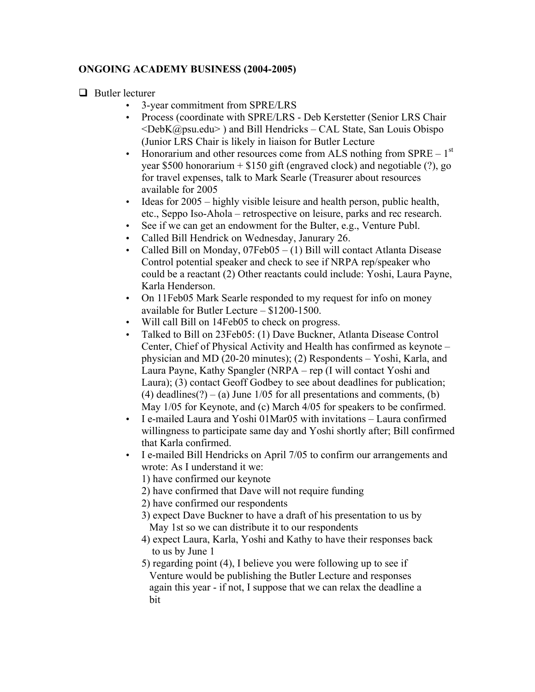## **ONGOING ACADEMY BUSINESS (2004-2005)**

 $\Box$  Butler lecturer

- 3-year commitment from SPRE/LRS
- Process (coordinate with SPRE/LRS Deb Kerstetter (Senior LRS Chair  $\leq$ DebK@psu.edu $\geq$ ) and Bill Hendricks – CAL State, San Louis Obispo (Junior LRS Chair is likely in liaison for Butler Lecture
- Honorarium and other resources come from ALS nothing from  $SPRE 1<sup>st</sup>$ year \$500 honorarium  $+$  \$150 gift (engraved clock) and negotiable (?), go for travel expenses, talk to Mark Searle (Treasurer about resources available for 2005
- Ideas for 2005 highly visible leisure and health person, public health, etc., Seppo Iso-Ahola – retrospective on leisure, parks and rec research.
- See if we can get an endowment for the Bulter, e.g., Venture Publ.
- Called Bill Hendrick on Wednesday, Janurary 26.
- Called Bill on Monday, 07Feb05 (1) Bill will contact Atlanta Disease Control potential speaker and check to see if NRPA rep/speaker who could be a reactant (2) Other reactants could include: Yoshi, Laura Payne, Karla Henderson.
- On 11Feb05 Mark Searle responded to my request for info on money available for Butler Lecture – \$1200-1500.
- Will call Bill on 14Feb05 to check on progress.
- Talked to Bill on 23Feb05: (1) Dave Buckner, Atlanta Disease Control Center, Chief of Physical Activity and Health has confirmed as keynote – physician and MD (20-20 minutes); (2) Respondents – Yoshi, Karla, and Laura Payne, Kathy Spangler (NRPA – rep (I will contact Yoshi and Laura); (3) contact Geoff Godbey to see about deadlines for publication; (4) deadlines(?) – (a) June  $1/05$  for all presentations and comments, (b) May 1/05 for Keynote, and (c) March 4/05 for speakers to be confirmed.
- I e-mailed Laura and Yoshi 01Mar05 with invitations Laura confirmed willingness to participate same day and Yoshi shortly after; Bill confirmed that Karla confirmed.
- I e-mailed Bill Hendricks on April 7/05 to confirm our arrangements and wrote: As I understand it we:
	- 1) have confirmed our keynote
	- 2) have confirmed that Dave will not require funding

2) have confirmed our respondents

3) expect Dave Buckner to have a draft of his presentation to us by May 1st so we can distribute it to our respondents

- 4) expect Laura, Karla, Yoshi and Kathy to have their responses back to us by June 1
- 5) regarding point (4), I believe you were following up to see if Venture would be publishing the Butler Lecture and responses again this year - if not, I suppose that we can relax the deadline a bit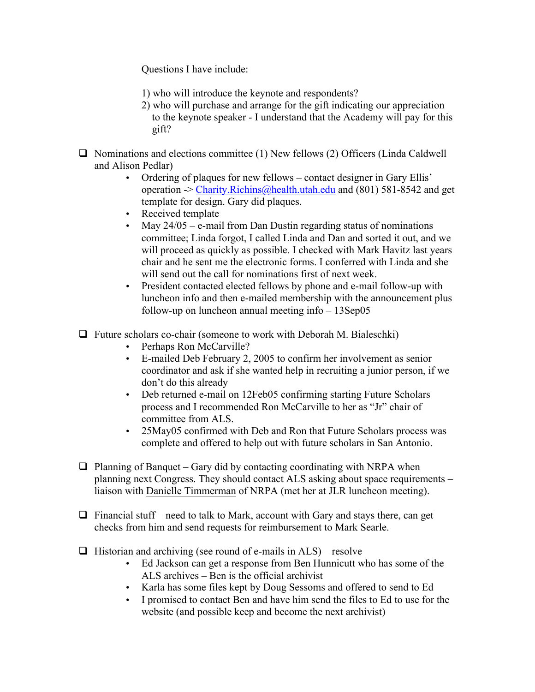Questions I have include:

- 1) who will introduce the keynote and respondents?
- 2) who will purchase and arrange for the gift indicating our appreciation to the keynote speaker - I understand that the Academy will pay for this gift?
- $\Box$  Nominations and elections committee (1) New fellows (2) Officers (Linda Caldwell and Alison Pedlar)
	- Ordering of plaques for new fellows contact designer in Gary Ellis' operation  $\sim$  Charity. Richins @health.utah.edu and (801) 581-8542 and get template for design. Gary did plaques.
	- Received template
	- May  $24/05$  e-mail from Dan Dustin regarding status of nominations committee; Linda forgot, I called Linda and Dan and sorted it out, and we will proceed as quickly as possible. I checked with Mark Havitz last years chair and he sent me the electronic forms. I conferred with Linda and she will send out the call for nominations first of next week.
	- President contacted elected fellows by phone and e-mail follow-up with luncheon info and then e-mailed membership with the announcement plus follow-up on luncheon annual meeting info – 13Sep05
- $\Box$  Future scholars co-chair (someone to work with Deborah M. Bialeschki)
	- Perhaps Ron McCarville?
	- E-mailed Deb February 2, 2005 to confirm her involvement as senior coordinator and ask if she wanted help in recruiting a junior person, if we don't do this already
	- Deb returned e-mail on 12Feb05 confirming starting Future Scholars process and I recommended Ron McCarville to her as "Jr" chair of committee from ALS.
	- 25May05 confirmed with Deb and Ron that Future Scholars process was complete and offered to help out with future scholars in San Antonio.
- $\Box$  Planning of Banquet Gary did by contacting coordinating with NRPA when planning next Congress. They should contact ALS asking about space requirements – liaison with Danielle Timmerman of NRPA (met her at JLR luncheon meeting).
- $\Box$  Financial stuff need to talk to Mark, account with Gary and stays there, can get checks from him and send requests for reimbursement to Mark Searle.
- $\Box$  Historian and archiving (see round of e-mails in ALS) resolve
	- Ed Jackson can get a response from Ben Hunnicutt who has some of the ALS archives – Ben is the official archivist
	- Karla has some files kept by Doug Sessoms and offered to send to Ed
	- I promised to contact Ben and have him send the files to Ed to use for the website (and possible keep and become the next archivist)